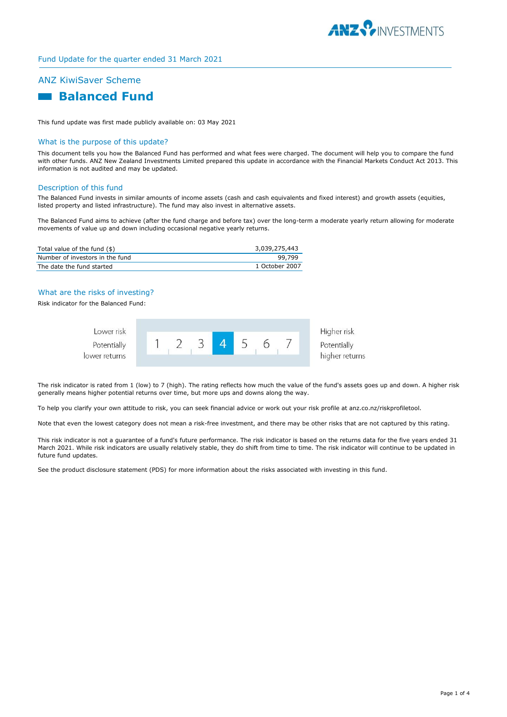

## Fund Update for the quarter ended 31 March 2021

# ANZ KiwiSaver Scheme



This fund update was first made publicly available on: 03 May 2021

## What is the purpose of this update?

This document tells you how the Balanced Fund has performed and what fees were charged. The document will help you to compare the fund with other funds. ANZ New Zealand Investments Limited prepared this update in accordance with the Financial Markets Conduct Act 2013. This information is not audited and may be updated.

## Description of this fund

The Balanced Fund invests in similar amounts of income assets (cash and cash equivalents and fixed interest) and growth assets (equities, listed property and listed infrastructure). The fund may also invest in alternative assets.

The Balanced Fund aims to achieve (after the fund charge and before tax) over the long-term a moderate yearly return allowing for moderate movements of value up and down including occasional negative yearly returns.

| Total value of the fund (\$)    | 3,039,275,443  |
|---------------------------------|----------------|
| Number of investors in the fund | 99.799         |
| The date the fund started       | 1 October 2007 |

## What are the risks of investing?

Risk indicator for the Balanced Fund:

| Lower risk    |  |  |  | Higher risk                   |
|---------------|--|--|--|-------------------------------|
| Potentially   |  |  |  | Potentially<br>higher returns |
| lower returns |  |  |  |                               |

The risk indicator is rated from 1 (low) to 7 (high). The rating reflects how much the value of the fund's assets goes up and down. A higher risk generally means higher potential returns over time, but more ups and downs along the way.

To help you clarify your own attitude to risk, you can seek financial advice or work out your risk profile at anz.co.nz/riskprofiletool.

Note that even the lowest category does not mean a risk-free investment, and there may be other risks that are not captured by this rating.

This risk indicator is not a guarantee of a fund's future performance. The risk indicator is based on the returns data for the five years ended 31 March 2021. While risk indicators are usually relatively stable, they do shift from time to time. The risk indicator will continue to be updated in future fund updates.

See the product disclosure statement (PDS) for more information about the risks associated with investing in this fund.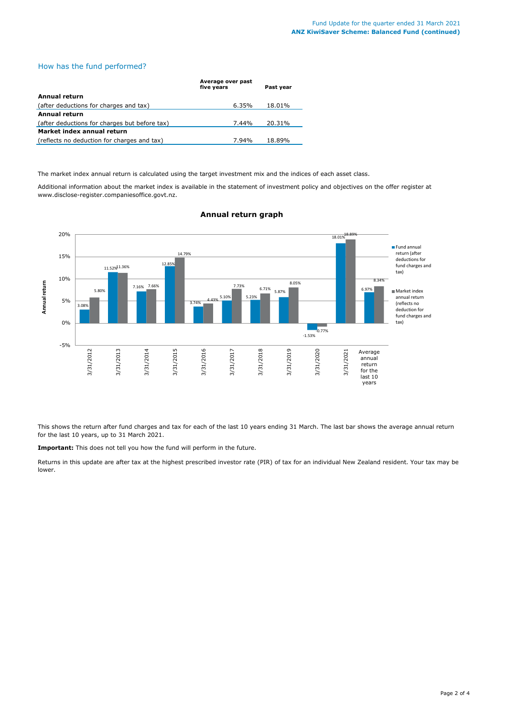## How has the fund performed?

|                                               | Average over past<br>five years | Past year |
|-----------------------------------------------|---------------------------------|-----------|
| Annual return                                 |                                 |           |
| (after deductions for charges and tax)        | 6.35%                           | 18.01%    |
| <b>Annual return</b>                          |                                 |           |
| (after deductions for charges but before tax) | 7.44%                           | 20.31%    |
| Market index annual return                    |                                 |           |
| (reflects no deduction for charges and tax)   | 7.94%                           | 18.89%    |

The market index annual return is calculated using the target investment mix and the indices of each asset class.

Additional information about the market index is available in the statement of investment policy and objectives on the offer register at www.disclose-register.companiesoffice.govt.nz.



## **Annual return graph**

This shows the return after fund charges and tax for each of the last 10 years ending 31 March. The last bar shows the average annual return for the last 10 years, up to 31 March 2021.

**Important:** This does not tell you how the fund will perform in the future.

Returns in this update are after tax at the highest prescribed investor rate (PIR) of tax for an individual New Zealand resident. Your tax may be lower.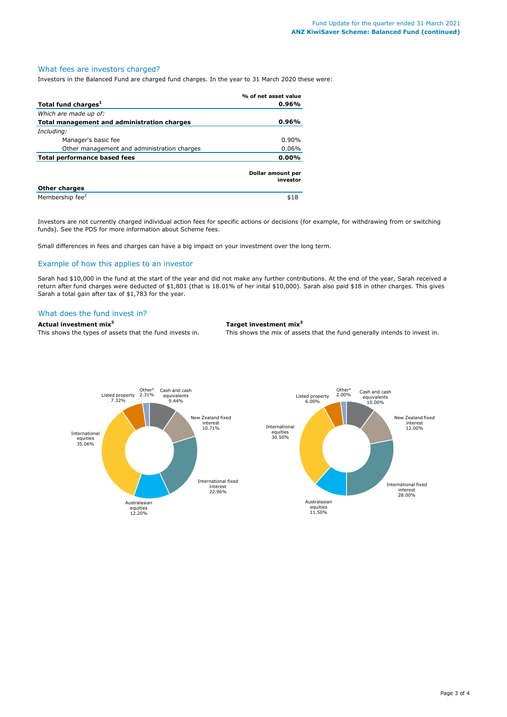## What fees are investors charged?

Investors in the Balanced Fund are charged fund charges. In the year to 31 March 2020 these were:

|                                             | % of net asset value          |
|---------------------------------------------|-------------------------------|
| Total fund charges <sup>1</sup>             | 0.96%                         |
| Which are made up of:                       |                               |
| Total management and administration charges | 0.96%                         |
| Including:                                  |                               |
| Manager's basic fee                         | $0.90\%$                      |
| Other management and administration charges | $0.06\%$                      |
| <b>Total performance based fees</b>         | 0.00%                         |
|                                             | Dollar amount per<br>investor |
| <b>Other charges</b>                        |                               |
| Membership fee <sup>2</sup>                 | \$18                          |

Investors are not currently charged individual action fees for specific actions or decisions (for example, for withdrawing from or switching funds). See the PDS for more information about Scheme fees.

Small differences in fees and charges can have a big impact on your investment over the long term.

## Example of how this applies to an investor

Sarah had \$10,000 in the fund at the start of the year and did not make any further contributions. At the end of the year, Sarah received a return after fund charges were deducted of \$1,801 (that is 18.01% of her inital \$10,000). Sarah also paid \$18 in other charges. This gives Sarah a total gain after tax of \$1,783 for the year.

## What does the fund invest in?

**Actual investment mix<sup>3</sup> Target investment mix<sup>3</sup>**

This shows the types of assets that the fund invests in. This shows the mix of assets that the fund generally intends to invest in.